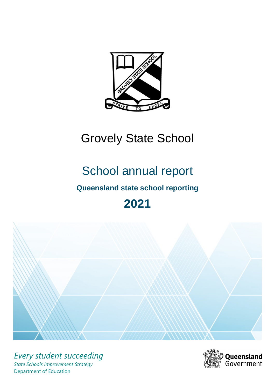

# Grovely State School

# School annual report

# **Queensland state school reporting**

# **2021**



*Every student succeeding State Schools Improvement Strategy* Department of Education

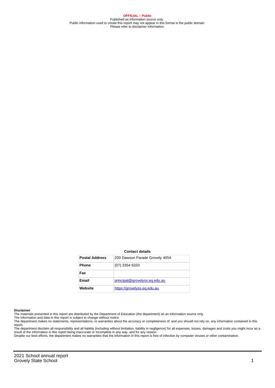**OFFICIAL – Public** Published as information source only. Public information used to create this report may not appear in this format in the public domain Please refer to disclaimer information.

#### **Contact details**

| <b>Postal Address</b> | 200 Dawson Parade Grovely 4054 |
|-----------------------|--------------------------------|
| <b>Phone</b>          | $(07)$ 3354 6333               |
| Fax                   |                                |
| <b>Email</b>          | principal@grovelyss.eq.edu.au  |
| Website               | https://grovelyss.eg.edu.au    |

#### **Disclaimer**

The materials presented in this report are distributed by the Department of Education (the department) as an information source only.

The information and data in this report is subject to change without notice.<br>The department makes no statements, representations, or warranties about the accuracy or completeness of, and you should not rely on, any informa report. The department disclaim all responsibility and all liability (including without limitation, liability in negligence) for all expenses, losses, damages and costs you might incur as a

result of the information in this report being inaccurate or incomplete in any way, and for any reason. Despite our best efforts, the department makes no warranties that the information in this report is free of infection by computer viruses or other contamination.

2021 School annual report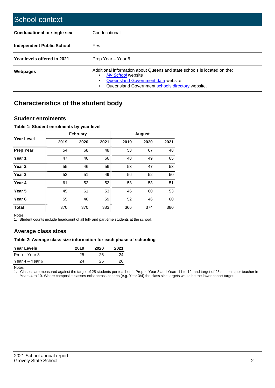| School context                   |                                                                                                                                                                                              |
|----------------------------------|----------------------------------------------------------------------------------------------------------------------------------------------------------------------------------------------|
| Coeducational or single sex      | Coeducational                                                                                                                                                                                |
| <b>Independent Public School</b> | Yes                                                                                                                                                                                          |
| Year levels offered in 2021      | Prep Year - Year 6                                                                                                                                                                           |
| Webpages                         | Additional information about Queensland state schools is located on the:<br>My School website<br>Queensland Government data website<br>Queensland Government schools directory website.<br>٠ |

# **Characteristics of the student body**

### **Student enrolments**

#### **Table 1: Student enrolments by year level**

|                   |      | <b>February</b> |      |      | <b>August</b> |      |
|-------------------|------|-----------------|------|------|---------------|------|
| <b>Year Level</b> | 2019 | 2020            | 2021 | 2019 | 2020          | 2021 |
| <b>Prep Year</b>  | 54   | 68              | 48   | 53   | 67            | 48   |
| Year 1            | 47   | 46              | 66   | 48   | 49            | 65   |
| Year 2            | 55   | 46              | 56   | 53   | 47            | 53   |
| Year <sub>3</sub> | 53   | 51              | 49   | 56   | 52            | 50   |
| Year 4            | 61   | 52              | 52   | 58   | 53            | 51   |
| Year <sub>5</sub> | 45   | 61              | 53   | 46   | 60            | 53   |
| Year <sub>6</sub> | 55   | 46              | 59   | 52   | 46            | 60   |
| <b>Total</b>      | 370  | 370             | 383  | 366  | 374           | 380  |

Notes

1. Student counts include headcount of all full- and part-time students at the school.

## **Average class sizes**

#### **Table 2: Average class size information for each phase of schooling**

| <b>Year Levels</b> | 2019 | 2020 | 2021 |
|--------------------|------|------|------|
| Prep – Year 3      | 25   | 25   | 24   |
| Year 4 – Year 6    | 24   | 25   | 26   |

Notes

1. Classes are measured against the target of 25 students per teacher in Prep to Year 3 and Years 11 to 12, and target of 28 students per teacher in Years 4 to 10. Where composite classes exist across cohorts (e.g. Year 3/4) the class size targets would be the lower cohort target.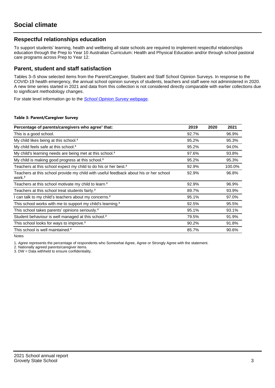## **Respectful relationships education**

To support students' learning, health and wellbeing all state schools are required to implement respectful relationships education through the Prep to Year 10 Australian Curriculum: Health and Physical Education and/or through school pastoral care programs across Prep to Year 12.

### **Parent, student and staff satisfaction**

Tables 3–5 show selected items from the Parent/Caregiver, Student and Staff School Opinion Surveys. In response to the COVID-19 health emergency, the annual school opinion surveys of students, teachers and staff were not administered in 2020. A new time series started in 2021 and data from this collection is not considered directly comparable with earlier collections due to significant methodology changes.

For state level information go to the **[School Opinion Survey](https://qed.qld.gov.au/publications/reports/statistics/schooling/schools/schoolopinionsurvey) webpage**.

#### **Table 3: Parent/Caregiver Survey**

| Percentage of parents/caregivers who agree <sup>1</sup> that:                                               | 2019  | 2020 | 2021   |
|-------------------------------------------------------------------------------------------------------------|-------|------|--------|
| This is a good school.                                                                                      | 92.7% |      | 96.9%  |
| My child likes being at this school. <sup>2</sup>                                                           | 95.2% |      | 95.3%  |
| My child feels safe at this school. <sup>2</sup>                                                            | 95.2% |      | 94.0%  |
| My child's learning needs are being met at this school. <sup>2</sup>                                        | 97.6% |      | 93.8%  |
| My child is making good progress at this school. <sup>2</sup>                                               | 95.2% |      | 95.3%  |
| Teachers at this school expect my child to do his or her best. <sup>2</sup>                                 | 92.9% |      | 100.0% |
| Teachers at this school provide my child with useful feedback about his or her school<br>work. <sup>2</sup> | 92.9% |      | 96.8%  |
| Teachers at this school motivate my child to learn. <sup>2</sup>                                            | 92.9% |      | 96.9%  |
| Teachers at this school treat students fairly. <sup>2</sup>                                                 | 89.7% |      | 93.9%  |
| can talk to my child's teachers about my concerns. <sup>2</sup>                                             | 95.1% |      | 97.0%  |
| This school works with me to support my child's learning. <sup>2</sup>                                      | 92.5% |      | 95.5%  |
| This school takes parents' opinions seriously. <sup>2</sup>                                                 | 95.1% |      | 93.1%  |
| Student behaviour is well managed at this school. <sup>2</sup>                                              | 79.5% |      | 91.9%  |
| This school looks for ways to improve. <sup>2</sup>                                                         | 90.2% |      | 91.8%  |
| This school is well maintained. <sup>2</sup>                                                                | 85.7% |      | 90.6%  |

Notes

1. Agree represents the percentage of respondents who Somewhat Agree, Agree or Strongly Agree with the statement.

2. Nationally agreed parents/caregiver items.

3. DW = Data withheld to ensure confidentiality.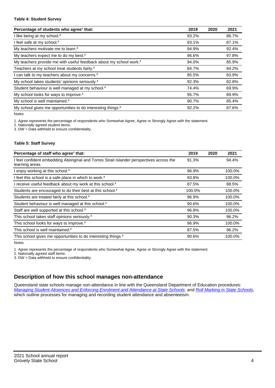#### **Table 4: Student Survey**

| Percentage of students who agree <sup>1</sup> that:                            | 2019  | 2020 | 2021  |
|--------------------------------------------------------------------------------|-------|------|-------|
| I like being at my school. <sup>2</sup>                                        | 93.2% |      | 86.7% |
| I feel safe at my school. <sup>2</sup>                                         | 93.1% |      | 87.1% |
| My teachers motivate me to learn. <sup>2</sup>                                 | 94.9% |      | 92.4% |
| My teachers expect me to do my best. <sup>2</sup>                              | 96.6% |      | 97.8% |
| My teachers provide me with useful feedback about my school work. <sup>2</sup> | 94.0% |      | 85.9% |
| Teachers at my school treat students fairly. <sup>2</sup>                      | 84.7% |      | 84.2% |
| I can talk to my teachers about my concerns. <sup>2</sup>                      | 85.5% |      | 83.9% |
| My school takes students' opinions seriously. <sup>2</sup>                     | 92.3% |      | 82.8% |
| Student behaviour is well managed at my school. <sup>2</sup>                   | 74.4% |      | 69.9% |
| My school looks for ways to improve. <sup>2</sup>                              | 95.7% |      | 89.9% |
| My school is well maintained. <sup>2</sup>                                     | 90.7% |      | 85.4% |
| My school gives me opportunities to do interesting things. <sup>2</sup>        | 92.2% |      | 87.6% |

Notes

1. Agree represents the percentage of respondents who Somewhat Agree, Agree or Strongly Agree with the statement.

2. Nationally agreed student items.

3. DW = Data withheld to ensure confidentiality.

#### **Table 5: Staff Survey**

| Percentage of staff who agree <sup>1</sup> that:                                                            | 2019   | 2020 | 2021   |
|-------------------------------------------------------------------------------------------------------------|--------|------|--------|
| I feel confident embedding Aboriginal and Torres Strait Islander perspectives across the<br>learning areas. | 91.3%  |      | 94.4%  |
| I enjoy working at this school. <sup>2</sup>                                                                | 96.9%  |      | 100.0% |
| I feel this school is a safe place in which to work. <sup>2</sup>                                           | 93.8%  |      | 100.0% |
| I receive useful feedback about my work at this school. <sup>2</sup>                                        | 87.5%  |      | 88.5%  |
| Students are encouraged to do their best at this school. <sup>2</sup>                                       | 100.0% |      | 100.0% |
| Students are treated fairly at this school. <sup>2</sup>                                                    | 96.9%  |      | 100.0% |
| Student behaviour is well managed at this school. <sup>2</sup>                                              | 90.6%  |      | 100.0% |
| Staff are well supported at this school. <sup>2</sup>                                                       | 96.8%  |      | 100.0% |
| This school takes staff opinions seriously. <sup>2</sup>                                                    | 90.3%  |      | 96.2%  |
| This school looks for ways to improve. <sup>2</sup>                                                         | 96.9%  |      | 100.0% |
| This school is well maintained. <sup>2</sup>                                                                | 87.5%  |      | 96.2%  |
| This school gives me opportunities to do interesting things. <sup>2</sup>                                   | 90.6%  |      | 100.0% |

Notes

1. Agree represents the percentage of respondents who Somewhat Agree, Agree or Strongly Agree with the statement.

2. Nationally agreed staff items.

3. DW = Data withheld to ensure confidentiality.

## **Description of how this school manages non-attendance**

Queensland state schools manage non-attendance in line with the Queensland Department of Education procedures: [Managing Student Absences and Enforcing Enrolment and Attendance at State Schools](https://ppr.qed.qld.gov.au/pp/managing-student-absences-and-enforcing-enrolment-and-attendance-at-state-schools-procedure); and [Roll Marking in State Schools,](https://ppr.qed.qld.gov.au/pp/roll-marking-in-state-schools-procedure) which outline processes for managing and recording student attendance and absenteeism.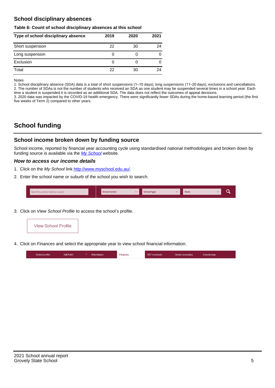## **School disciplinary absences**

#### **Table 6: Count of school disciplinary absences at this school**

| Type of school disciplinary absence | 2019 | 2020 | 2021 |
|-------------------------------------|------|------|------|
| Short suspension                    | 22   | 30   | 24   |
| Long suspension                     | O    |      |      |
| Exclusion                           | 0    |      | 0    |
| Total                               | 22   | 30   | 24   |

Notes

1. School disciplinary absence (SDA) data is a total of short suspensions (1–10 days), long suspensions (11–20 days), exclusions and cancellations. 2. The number of SDAs is not the number of students who received an SDA as one student may be suspended several times in a school year. Each time a student is suspended it is recorded as an additional SDA. The data does not reflect the outcomes of appeal decisions.

3. 2020 data was impacted by the COVID-19 health emergency. There were significantly fewer SDAs during the home-based learning period (the first five weeks of Term 2) compared to other years.

# **School funding**

## **School income broken down by funding source**

School income, reported by financial year accounting cycle using standardised national methodologies and broken down by funding source is available via the [My School](http://www.myschool.edu.au/) website.

#### **How to access our income details**

- 1. Click on the My School link <http://www.myschool.edu.au/>.
- 2. Enter the school name or suburb of the school you wish to search.

|  | Search by school name or suburb |  | <b>School sector</b> |  | $\sim$ and $\sim$ represents the set of $\sim$ | <b>State</b> |  |  |  |
|--|---------------------------------|--|----------------------|--|------------------------------------------------|--------------|--|--|--|
|--|---------------------------------|--|----------------------|--|------------------------------------------------|--------------|--|--|--|

3. Click on View School Profile to access the school's profile.



4. Click on Finances and select the appropriate year to view school financial information.

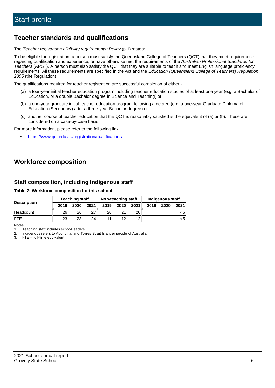# **Teacher standards and qualifications**

The Teacher registration eligibility requirements: Policy (p.1) states:

To be eligible for registration, a person must satisfy the Queensland College of Teachers (QCT) that they meet requirements regarding qualification and experience, or have otherwise met the requirements of the Australian Professional Standards for Teachers (APST). A person must also satisfy the QCT that they are suitable to teach and meet English language proficiency requirements. All these requirements are specified in the Act and the Education (Queensland College of Teachers) Regulation 2005 (the Regulation).

The qualifications required for teacher registration are successful completion of either -

- (a) a four-year initial teacher education program including teacher education studies of at least one year (e.g. a Bachelor of Education, or a double Bachelor degree in Science and Teaching) or
- (b) a one-year graduate initial teacher education program following a degree (e.g. a one-year Graduate Diploma of Education (Secondary) after a three-year Bachelor degree) or
- (c) another course of teacher education that the QCT is reasonably satisfied is the equivalent of (a) or (b). These are considered on a case-by-case basis.

For more information, please refer to the following link:

• <https://www.qct.edu.au/registration/qualifications>

# **Workforce composition**

## **Staff composition, including Indigenous staff**

#### **Table 7: Workforce composition for this school**

|                    |      | <b>Teaching staff</b> |      |      | Non-teaching staff |      |      | Indigenous staff |      |
|--------------------|------|-----------------------|------|------|--------------------|------|------|------------------|------|
| <b>Description</b> | 2019 | 2020                  | 2021 | 2019 | 2020               | 2021 | 2019 | 2020             | 2021 |
| Headcount          | 26   | 26                    |      | 20   |                    | 20   |      |                  | <ວ   |
| <b>FTE</b>         | 23   | 23                    | 24   |      |                    | 12   |      |                  | כ>   |

Notes

1. Teaching staff includes school leaders.

2. Indigenous refers to Aboriginal and Torres Strait Islander people of Australia.

3. FTE = full-time equivalent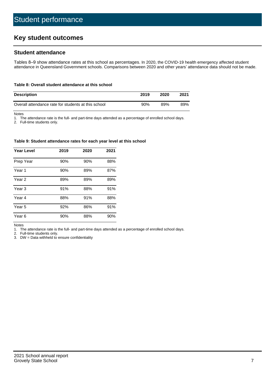# **Key student outcomes**

## **Student attendance**

Tables 8–9 show attendance rates at this school as percentages. In 2020, the COVID-19 health emergency affected student attendance in Queensland Government schools. Comparisons between 2020 and other years' attendance data should not be made.

#### **Table 8: Overall student attendance at this school**

| <b>Description</b>                                  | 2019 | 2020 | 2021 |
|-----------------------------------------------------|------|------|------|
| Overall attendance rate for students at this school | 90%  | 89%  | 89%  |

Notes

1. The attendance rate is the full- and part-time days attended as a percentage of enrolled school days.

2. Full-time students only.

#### **Table 9: Student attendance rates for each year level at this school**

| <b>Year Level</b> | 2019 | 2020 | 2021 |
|-------------------|------|------|------|
| Prep Year         | 90%  | 90%  | 88%  |
| Year <sub>1</sub> | 90%  | 89%  | 87%  |
| Year 2            | 89%  | 89%  | 89%  |
| Year <sub>3</sub> | 91%  | 88%  | 91%  |
| Year 4            | 88%  | 91%  | 88%  |
| Year 5            | 92%  | 86%  | 91%  |
| Year <sub>6</sub> | 90%  | 88%  | 90%  |

Notes

1. The attendance rate is the full- and part-time days attended as a percentage of enrolled school days.

2. Full-time students only.

3. DW = Data withheld to ensure confidentiality